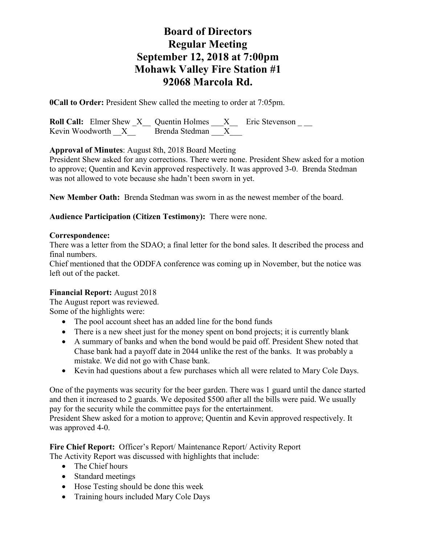# **Board of Directors Regular Meeting September 12, 2018 at 7:00pm Mohawk Valley Fire Station #1 92068 Marcola Rd.**

**0Call to Order:** President Shew called the meeting to order at 7:05pm.

**Roll Call:** Elmer Shew X Quentin Holmes X Eric Stevenson \_\_\_\_<br>Kevin Woodworth X Brenda Stedman X Kevin Woodworth  $X$ 

**Approval of Minutes**: August 8th, 2018 Board Meeting

President Shew asked for any corrections. There were none. President Shew asked for a motion to approve; Quentin and Kevin approved respectively. It was approved 3-0. Brenda Stedman was not allowed to vote because she hadn't been sworn in yet.

**New Member Oath:** Brenda Stedman was sworn in as the newest member of the board.

**Audience Participation (Citizen Testimony):** There were none.

#### **Correspondence:**

There was a letter from the SDAO; a final letter for the bond sales. It described the process and final numbers.

Chief mentioned that the ODDFA conference was coming up in November, but the notice was left out of the packet.

### **Financial Report:** August 2018

The August report was reviewed.

Some of the highlights were:

- The pool account sheet has an added line for the bond funds
- There is a new sheet just for the money spent on bond projects; it is currently blank
- A summary of banks and when the bond would be paid off. President Shew noted that Chase bank had a payoff date in 2044 unlike the rest of the banks. It was probably a mistake. We did not go with Chase bank.
- Kevin had questions about a few purchases which all were related to Mary Cole Days.

One of the payments was security for the beer garden. There was 1 guard until the dance started and then it increased to 2 guards. We deposited \$500 after all the bills were paid. We usually pay for the security while the committee pays for the entertainment.

President Shew asked for a motion to approve; Quentin and Kevin approved respectively. It was approved 4-0.

**Fire Chief Report:** Officer's Report/ Maintenance Report/ Activity Report The Activity Report was discussed with highlights that include:

- The Chief hours
- Standard meetings
- Hose Testing should be done this week
- Training hours included Mary Cole Days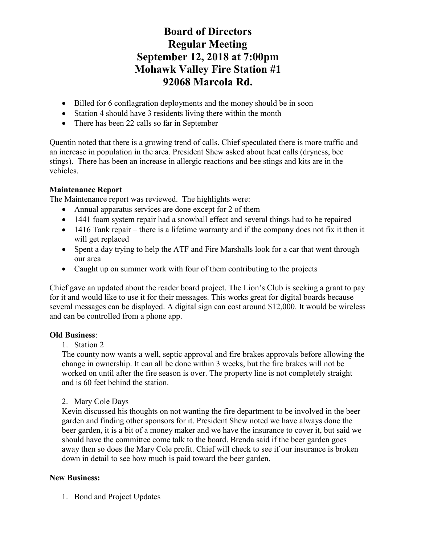# **Board of Directors Regular Meeting September 12, 2018 at 7:00pm Mohawk Valley Fire Station #1 92068 Marcola Rd.**

- Billed for 6 conflagration deployments and the money should be in soon
- Station 4 should have 3 residents living there within the month
- There has been 22 calls so far in September

Quentin noted that there is a growing trend of calls. Chief speculated there is more traffic and an increase in population in the area. President Shew asked about heat calls (dryness, bee stings). There has been an increase in allergic reactions and bee stings and kits are in the vehicles.

### **Maintenance Report**

The Maintenance report was reviewed. The highlights were:

- Annual apparatus services are done except for 2 of them
- 1441 foam system repair had a snowball effect and several things had to be repaired
- 1416 Tank repair there is a lifetime warranty and if the company does not fix it then it will get replaced
- Spent a day trying to help the ATF and Fire Marshalls look for a car that went through our area
- Caught up on summer work with four of them contributing to the projects

Chief gave an updated about the reader board project. The Lion's Club is seeking a grant to pay for it and would like to use it for their messages. This works great for digital boards because several messages can be displayed. A digital sign can cost around \$12,000. It would be wireless and can be controlled from a phone app.

### **Old Business**:

### 1. Station 2

The county now wants a well, septic approval and fire brakes approvals before allowing the change in ownership. It can all be done within 3 weeks, but the fire brakes will not be worked on until after the fire season is over. The property line is not completely straight and is 60 feet behind the station.

### 2. Mary Cole Days

Kevin discussed his thoughts on not wanting the fire department to be involved in the beer garden and finding other sponsors for it. President Shew noted we have always done the beer garden, it is a bit of a money maker and we have the insurance to cover it, but said we should have the committee come talk to the board. Brenda said if the beer garden goes away then so does the Mary Cole profit. Chief will check to see if our insurance is broken down in detail to see how much is paid toward the beer garden.

## **New Business:**

1. Bond and Project Updates